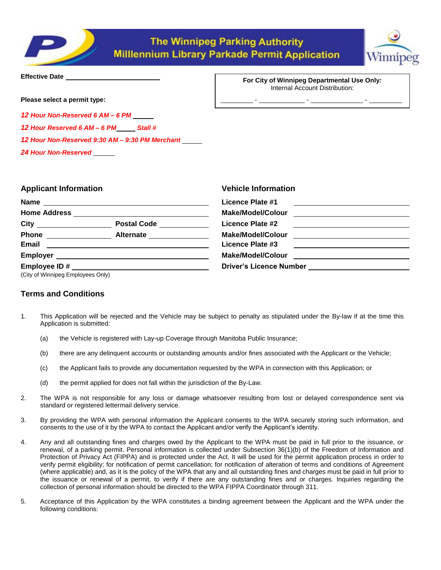



| <b>Effective Date</b> |
|-----------------------|
|                       |

**Please select a permit type:** 

*12 Hour Non-Reserved 6 AM – 6 PM*

*12 Hour Reserved 6 AM – 6 PM Stall #*

*12 Hour Non-Reserved 9:30 AM – 9:30 PM Merchant* 

*24 Hour Non-Reserved*

**For City of Winnipeg Departmental Use Only***:* Internal Account Distribution:

- - -

| <b>Applicant Information</b>      |  | <b>Vehicle Information</b>                                              |  |
|-----------------------------------|--|-------------------------------------------------------------------------|--|
|                                   |  | Licence Plate #1<br><u> 1989 - Andrea Station Barbara, amerikan per</u> |  |
|                                   |  |                                                                         |  |
|                                   |  | Licence Plate #2                                                        |  |
|                                   |  |                                                                         |  |
|                                   |  | Licence Plate #3                                                        |  |
|                                   |  |                                                                         |  |
|                                   |  | Driver's Licence Number _________________________                       |  |
| (City of Winnipeg Employees Only) |  |                                                                         |  |

# **Terms and Conditions**

- 1. This Application will be rejected and the Vehicle may be subject to penalty as stipulated under the By-law if at the time this Application is submitted:
	- (a) the Vehicle is registered with Lay-up Coverage through Manitoba Public Insurance;
	- (b) there are any delinquent accounts or outstanding amounts and/or fines associated with the Applicant or the Vehicle;
	- (c) the Applicant fails to provide any documentation requested by the WPA in connection with this Application; or
	- (d) the permit applied for does not fall within the jurisdiction of the By-Law.
- 2. The WPA is not responsible for any loss or damage whatsoever resulting from lost or delayed correspondence sent via standard or registered lettermail delivery service.
- 3. By providing the WPA with personal information the Applicant consents to the WPA securely storing such information, and consents to the use of it by the WPA to contact the Applicant and/or verify the Applicant's identity.
- 4. Any and all outstanding fines and charges owed by the Applicant to the WPA must be paid in full prior to the issuance, or renewal, of a parking permit. Personal information is collected under Subsection 36(1)(b) of the Freedom of Information and Protection of Privacy Act (FIPPA) and is protected under the Act. It will be used for the permit application process in order to verify permit eligibility; for notification of permit cancellation; for notification of alteration of terms and conditions of Agreement (where applicable) and, as it is the policy of the WPA that any and all outstanding fines and charges must be paid in full prior to the issuance or renewal of a permit, to verify if there are any outstanding fines and or charges. Inquiries regarding the collection of personal information should be directed to the WPA FIPPA Coordinator through 311.
- 5. Acceptance of this Application by the WPA constitutes a binding agreement between the Applicant and the WPA under the following conditions: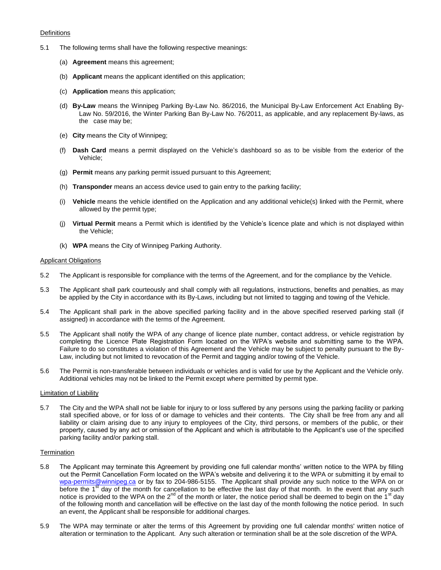# **Definitions**

- 5.1 The following terms shall have the following respective meanings:
	- (a) **Agreement** means this agreement;
	- (b) **Applicant** means the applicant identified on this application;
	- (c) **Application** means this application;
	- (d) **By-Law** means the Winnipeg Parking By-Law No. 86/2016, the Municipal By-Law Enforcement Act Enabling By-Law No. 59/2016, the Winter Parking Ban By-Law No. 76/2011, as applicable, and any replacement By-laws, as the case may be;
	- (e) **City** means the City of Winnipeg;
	- (f) **Dash Card** means a permit displayed on the Vehicle's dashboard so as to be visible from the exterior of the Vehicle;
	- (g) **Permit** means any parking permit issued pursuant to this Agreement;
	- (h) **Transponder** means an access device used to gain entry to the parking facility;
	- (i) **Vehicle** means the vehicle identified on the Application and any additional vehicle(s) linked with the Permit, where allowed by the permit type;
	- (j) **Virtual Permit** means a Permit which is identified by the Vehicle's licence plate and which is not displayed within the Vehicle;
	- (k) **WPA** means the City of Winnipeg Parking Authority.

## Applicant Obligations

- 5.2 The Applicant is responsible for compliance with the terms of the Agreement, and for the compliance by the Vehicle.
- 5.3 The Applicant shall park courteously and shall comply with all regulations, instructions, benefits and penalties, as may be applied by the City in accordance with its By-Laws, including but not limited to tagging and towing of the Vehicle.
- 5.4 The Applicant shall park in the above specified parking facility and in the above specified reserved parking stall (if assigned) in accordance with the terms of the Agreement.
- 5.5 The Applicant shall notify the WPA of any change of licence plate number, contact address, or vehicle registration by completing the Licence Plate Registration Form located on the WPA's website and submitting same to the WPA. Failure to do so constitutes a violation of this Agreement and the Vehicle may be subject to penalty pursuant to the By-Law, including but not limited to revocation of the Permit and tagging and/or towing of the Vehicle.
- 5.6 The Permit is non-transferable between individuals or vehicles and is valid for use by the Applicant and the Vehicle only. Additional vehicles may not be linked to the Permit except where permitted by permit type.

#### Limitation of Liability

5.7 The City and the WPA shall not be liable for injury to or loss suffered by any persons using the parking facility or parking stall specified above, or for loss of or damage to vehicles and their contents. The City shall be free from any and all liability or claim arising due to any injury to employees of the City, third persons, or members of the public, or their property, caused by any act or omission of the Applicant and which is attributable to the Applicant's use of the specified parking facility and/or parking stall.

# **Termination**

- 5.8 The Applicant may terminate this Agreement by providing one full calendar months' written notice to the WPA by filling out the Permit Cancellation Form located on the WPA's website and delivering it to the WPA or submitting it by email to [wpa-permits@winnipeg.ca](mailto:wpa-permits@winnipeg.ca) or by fax to 204-986-5155. The Applicant shall provide any such notice to the WPA on or before the 1<sup>st</sup> day of the month for cancellation to be effective the last day of that month. In the event that any such notice is provided to the WPA on the  $2^{nd}$  of the month or later, the notice period shall be deemed to begin on the 1<sup>st</sup> day of the following month and cancellation will be effective on the last day of the month following the notice period. In such an event, the Applicant shall be responsible for additional charges.
- 5.9 The WPA may terminate or alter the terms of this Agreement by providing one full calendar months' written notice of alteration or termination to the Applicant. Any such alteration or termination shall be at the sole discretion of the WPA.